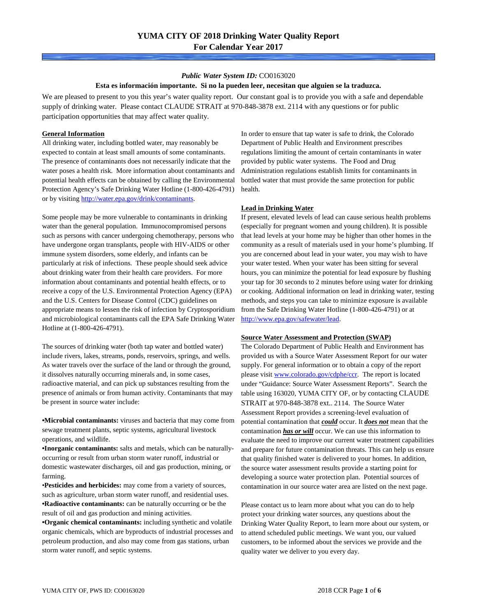### *Public Water System ID:* CO0163020

#### **Esta es información importante. Si no la pueden leer, necesitan que alguien se la traduzca.**

We are pleased to present to you this year's water quality report. Our constant goal is to provide you with a safe and dependable supply of drinking water. Please contact CLAUDE STRAIT at 970-848-3878 ext. 2114 with any questions or for public participation opportunities that may affect water quality.

### **General Information**

All drinking water, including bottled water, may reasonably be expected to contain at least small amounts of some contaminants. The presence of contaminants does not necessarily indicate that the water poses a health risk. More information about contaminants and potential health effects can be obtained by calling the Environmental Protection Agency's Safe Drinking Water Hotline (1-800-426-4791) or by visiting [http://water.epa.gov/drink/contaminants.](http://water.epa.gov/drink/contaminants)

Some people may be more vulnerable to contaminants in drinking water than the general population. Immunocompromised persons such as persons with cancer undergoing chemotherapy, persons who have undergone organ transplants, people with HIV-AIDS or other immune system disorders, some elderly, and infants can be particularly at risk of infections. These people should seek advice about drinking water from their health care providers. For more information about contaminants and potential health effects, or to receive a copy of the U.S. Environmental Protection Agency (EPA) and the U.S. Centers for Disease Control (CDC) guidelines on appropriate means to lessen the risk of infection by Cryptosporidium and microbiological contaminants call the EPA Safe Drinking Water Hotline at (1-800-426-4791).

The sources of drinking water (both tap water and bottled water) include rivers, lakes, streams, ponds, reservoirs, springs, and wells. As water travels over the surface of the land or through the ground, it dissolves naturally occurring minerals and, in some cases, radioactive material, and can pick up substances resulting from the presence of animals or from human activity. Contaminants that may be present in source water include:

**•Microbial contaminants:** viruses and bacteria that may come from sewage treatment plants, septic systems, agricultural livestock operations, and wildlife.

**•Inorganic contaminants:** salts and metals, which can be naturallyoccurring or result from urban storm water runoff, industrial or domestic wastewater discharges, oil and gas production, mining, or farming.

•**Pesticides and herbicides:** may come from a variety of sources, such as agriculture, urban storm water runoff, and residential uses. **•Radioactive contaminants:** can be naturally occurring or be the result of oil and gas production and mining activities.

**•Organic chemical contaminants:** including synthetic and volatile organic chemicals, which are byproducts of industrial processes and petroleum production, and also may come from gas stations, urban storm water runoff, and septic systems.

In order to ensure that tap water is safe to drink, the Colorado Department of Public Health and Environment prescribes regulations limiting the amount of certain contaminants in water provided by public water systems. The Food and Drug Administration regulations establish limits for contaminants in bottled water that must provide the same protection for public health.

#### **Lead in Drinking Water**

If present, elevated levels of lead can cause serious health problems (especially for pregnant women and young children). It is possible that lead levels at your home may be higher than other homes in the community as a result of materials used in your home's plumbing. If you are concerned about lead in your water, you may wish to have your water tested. When your water has been sitting for several hours, you can minimize the potential for lead exposure by flushing your tap for 30 seconds to 2 minutes before using water for drinking or cooking. Additional information on lead in drinking water, testing methods, and steps you can take to minimize exposure is available from the Safe Drinking Water Hotline (1-800-426-4791) or at [http://www.epa.gov/safewater/lead.](http://www.epa.gov/safewater/lead) 

#### **Source Water Assessment and Protection (SWAP)**

The Colorado Department of Public Health and Environment has provided us with a Source Water Assessment Report for our water supply. For general information or to obtain a copy of the report please visit [www.colorado.gov/cdphe/ccr.](https://www.colorado.gov/cdphe/ccr) The report is located under "Guidance: Source Water Assessment Reports". Search the table using 163020, YUMA CITY OF, or by contacting CLAUDE STRAIT at 970-848-3878 ext.. 2114. The Source Water Assessment Report provides a screening-level evaluation of potential contamination that *could* occur. It *does not* mean that the contamination *has or will* occur. We can use this information to evaluate the need to improve our current water treatment capabilities and prepare for future contamination threats. This can help us ensure that quality finished water is delivered to your homes. In addition, the source water assessment results provide a starting point for developing a source water protection plan. Potential sources of contamination in our source water area are listed on the next page.

Please contact us to learn more about what you can do to help protect your drinking water sources, any questions about the Drinking Water Quality Report, to learn more about our system, or to attend scheduled public meetings. We want you, our valued customers, to be informed about the services we provide and the quality water we deliver to you every day.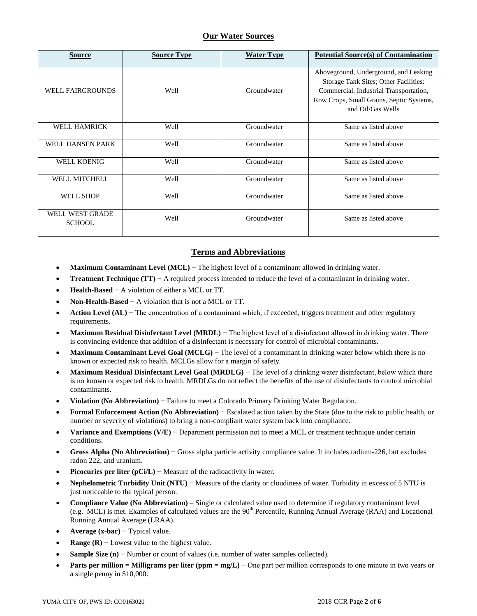### **Our Water Sources**

| <b>Source</b>                           | <b>Source Type</b> | <b>Water Type</b> | <b>Potential Source(s) of Contamination</b>                                                                                                                                               |
|-----------------------------------------|--------------------|-------------------|-------------------------------------------------------------------------------------------------------------------------------------------------------------------------------------------|
| <b>WELL FAIRGROUNDS</b>                 | Well               | Groundwater       | Aboveground, Underground, and Leaking<br>Storage Tank Sites; Other Facilities:<br>Commercial, Industrial Transportation,<br>Row Crops, Small Grains, Septic Systems,<br>and Oil/Gas Wells |
| <b>WELL HAMRICK</b>                     | Well               | Groundwater       | Same as listed above                                                                                                                                                                      |
| WELL HANSEN PARK                        | Well               | Groundwater       | Same as listed above                                                                                                                                                                      |
| <b>WELL KOENIG</b>                      | Well               | Groundwater       | Same as listed above                                                                                                                                                                      |
| <b>WELL MITCHELL</b>                    | Well               | Groundwater       | Same as listed above                                                                                                                                                                      |
| <b>WELL SHOP</b>                        | Well               | Groundwater       | Same as listed above                                                                                                                                                                      |
| <b>WELL WEST GRADE</b><br><b>SCHOOL</b> | Well               | Groundwater       | Same as listed above                                                                                                                                                                      |

## **Terms and Abbreviations**

- **Maximum Contaminant Level (MCL)** − The highest level of a contaminant allowed in drinking water.
- **Treatment Technique (TT)**  $A$  required process intended to reduce the level of a contaminant in drinking water.
- **Health-Based** − A violation of either a MCL or TT.
- **Non-Health-Based** − A violation that is not a MCL or TT.
- **Action Level (AL)** − The concentration of a contaminant which, if exceeded, triggers treatment and other regulatory requirements.
- **Maximum Residual Disinfectant Level (MRDL)** − The highest level of a disinfectant allowed in drinking water. There is convincing evidence that addition of a disinfectant is necessary for control of microbial contaminants.
- **Maximum Contaminant Level Goal (MCLG)** − The level of a contaminant in drinking water below which there is no known or expected risk to health. MCLGs allow for a margin of safety.
- **Maximum Residual Disinfectant Level Goal (MRDLG)** − The level of a drinking water disinfectant, below which there is no known or expected risk to health. MRDLGs do not reflect the benefits of the use of disinfectants to control microbial contaminants.
- **Violation (No Abbreviation)** − Failure to meet a Colorado Primary Drinking Water Regulation.
- **Formal Enforcement Action (No Abbreviation)** − Escalated action taken by the State (due to the risk to public health, or number or severity of violations) to bring a non-compliant water system back into compliance.
- **Variance and Exemptions (V/E)** − Department permission not to meet a MCL or treatment technique under certain conditions.
- **Gross Alpha (No Abbreviation)** − Gross alpha particle activity compliance value. It includes radium-226, but excludes radon 222, and uranium.
- **Picocuries per liter (pCi/L)** Measure of the radioactivity in water.
- **Nephelometric Turbidity Unit (NTU)** − Measure of the clarity or cloudiness of water. Turbidity in excess of 5 NTU is just noticeable to the typical person.
- **Compliance Value (No Abbreviation)** Single or calculated value used to determine if regulatory contaminant level (e.g. MCL) is met. Examples of calculated values are the  $90<sup>th</sup>$  Percentile, Running Annual Average (RAA) and Locational Running Annual Average (LRAA).
- **Average (x-bar)** − Typical value.
- **Range (R)**  $-$  Lowest value to the highest value.
- **Sample Size (n)** − Number or count of values (i.e. number of water samples collected).
- **Parts per million = Milligrams per liter (ppm = mg/L)** − One part per million corresponds to one minute in two years or a single penny in \$10,000.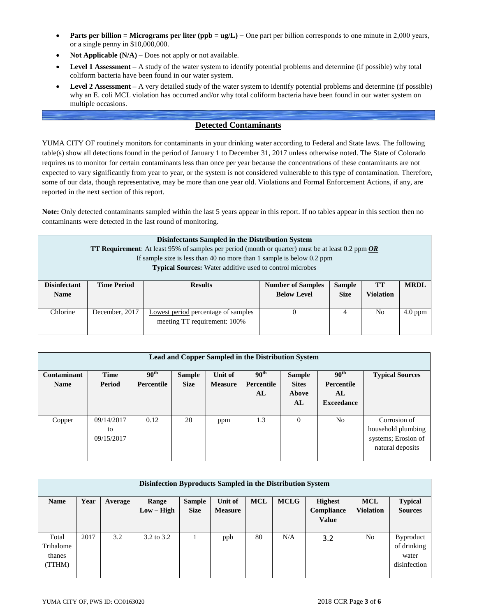- **Parts per billion = Micrograms per liter (ppb = ug/L)** − One part per billion corresponds to one minute in 2,000 years, or a single penny in \$10,000,000.
- **Not Applicable (N/A)** Does not apply or not available.
- **Level 1 Assessment** A study of the water system to identify potential problems and determine (if possible) why total coliform bacteria have been found in our water system.
- **Level 2 Assessment** A very detailed study of the water system to identify potential problems and determine (if possible) why an E. coli MCL violation has occurred and/or why total coliform bacteria have been found in our water system on multiple occasions.

### **Detected Contaminants**

YUMA CITY OF routinely monitors for contaminants in your drinking water according to Federal and State laws. The following table(s) show all detections found in the period of January 1 to December 31, 2017 unless otherwise noted. The State of Colorado requires us to monitor for certain contaminants less than once per year because the concentrations of these contaminants are not expected to vary significantly from year to year, or the system is not considered vulnerable to this type of contamination. Therefore, some of our data, though representative, may be more than one year old. Violations and Formal Enforcement Actions, if any, are reported in the next section of this report.

**Note:** Only detected contaminants sampled within the last 5 years appear in this report. If no tables appear in this section then no contaminants were detected in the last round of monitoring.

| <b>Disinfectants Sampled in the Distribution System</b><br><b>TT Requirement:</b> At least 95% of samples per period (month or quarter) must be at least 0.2 ppm $OR$<br>If sample size is less than 40 no more than 1 sample is below $0.2$ ppm<br><b>Typical Sources:</b> Water additive used to control microbes |                    |                                                                     |                                                |                              |                        |             |  |  |  |
|---------------------------------------------------------------------------------------------------------------------------------------------------------------------------------------------------------------------------------------------------------------------------------------------------------------------|--------------------|---------------------------------------------------------------------|------------------------------------------------|------------------------------|------------------------|-------------|--|--|--|
| <b>Disinfectant</b><br><b>Name</b>                                                                                                                                                                                                                                                                                  | <b>Time Period</b> | <b>Results</b>                                                      | <b>Number of Samples</b><br><b>Below Level</b> | <b>Sample</b><br><b>Size</b> | TT<br><b>Violation</b> | <b>MRDL</b> |  |  |  |
| Chlorine                                                                                                                                                                                                                                                                                                            | December, 2017     | Lowest period percentage of samples<br>meeting TT requirement: 100% | 0                                              | 4                            | N <sub>o</sub>         | $4.0$ ppm   |  |  |  |

| <b>Lead and Copper Sampled in the Distribution System</b> |             |                  |               |                |                   |               |                   |                        |  |  |
|-----------------------------------------------------------|-------------|------------------|---------------|----------------|-------------------|---------------|-------------------|------------------------|--|--|
| Contaminant                                               | <b>Time</b> | 90 <sup>th</sup> | <b>Sample</b> | Unit of        | 90 <sup>th</sup>  | <b>Sample</b> | 90 <sup>th</sup>  | <b>Typical Sources</b> |  |  |
| <b>Name</b>                                               | Period      | Percentile       | <b>Size</b>   | <b>Measure</b> | <b>Percentile</b> | <b>Sites</b>  | <b>Percentile</b> |                        |  |  |
|                                                           |             |                  |               |                | ${\bf AL}$        | Above         | AL                |                        |  |  |
|                                                           |             |                  |               |                |                   | AL            | <b>Exceedance</b> |                        |  |  |
|                                                           |             |                  |               |                |                   |               |                   |                        |  |  |
| Copper                                                    | 09/14/2017  | 0.12             | 20            | ppm            | 1.3               | $\theta$      | N <sub>o</sub>    | Corrosion of           |  |  |
|                                                           | to          |                  |               |                |                   |               |                   | household plumbing     |  |  |
|                                                           | 09/15/2017  |                  |               |                |                   |               |                   | systems; Erosion of    |  |  |
|                                                           |             |                  |               |                |                   |               |                   | natural deposits       |  |  |
|                                                           |             |                  |               |                |                   |               |                   |                        |  |  |

| Disinfection Byproducts Sampled in the Distribution System |      |         |              |               |                |            |             |                |                  |                |
|------------------------------------------------------------|------|---------|--------------|---------------|----------------|------------|-------------|----------------|------------------|----------------|
| <b>Name</b>                                                | Year | Average | Range        | <b>Sample</b> | Unit of        | <b>MCL</b> | <b>MCLG</b> | <b>Highest</b> | <b>MCL</b>       | <b>Typical</b> |
|                                                            |      |         | $Low - High$ | <b>Size</b>   | <b>Measure</b> |            |             | Compliance     | <b>Violation</b> | <b>Sources</b> |
|                                                            |      |         |              |               |                |            |             | <b>Value</b>   |                  |                |
|                                                            |      |         |              |               |                |            |             |                |                  |                |
| Total                                                      | 2017 | 3.2     | 3.2 to 3.2   |               | ppb            | 80         | N/A         | 3.2            | No               | Byproduct      |
| Trihalome                                                  |      |         |              |               |                |            |             |                |                  | of drinking    |
| thanes                                                     |      |         |              |               |                |            |             |                |                  | water          |
| (TTHM)                                                     |      |         |              |               |                |            |             |                |                  | disinfection   |
|                                                            |      |         |              |               |                |            |             |                |                  |                |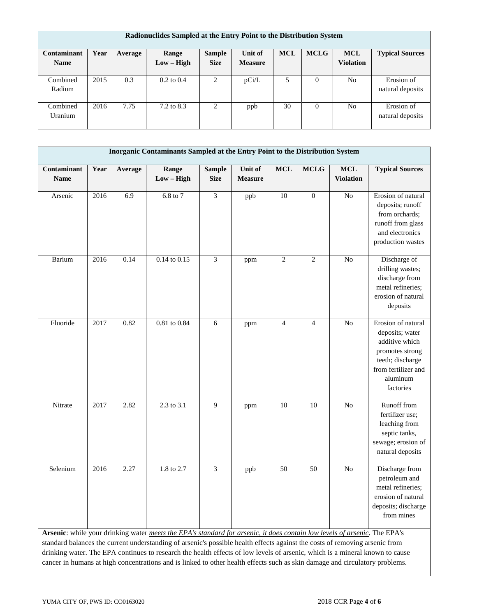| Radionuclides Sampled at the Entry Point to the Distribution System |      |         |                       |               |                |            |             |                  |                        |  |
|---------------------------------------------------------------------|------|---------|-----------------------|---------------|----------------|------------|-------------|------------------|------------------------|--|
| Contaminant                                                         | Year | Average | Range                 | <b>Sample</b> | Unit of        | <b>MCL</b> | <b>MCLG</b> | <b>MCL</b>       | <b>Typical Sources</b> |  |
| <b>Name</b>                                                         |      |         | $Low - High$          | <b>Size</b>   | <b>Measure</b> |            |             | <b>Violation</b> |                        |  |
|                                                                     |      |         |                       |               |                |            |             |                  |                        |  |
| Combined                                                            | 2015 | 0.3     | $0.2 \text{ to } 0.4$ | 2             | pCi/L          | 5          | $\Omega$    | N <sub>o</sub>   | Erosion of             |  |
| Radium                                                              |      |         |                       |               |                |            |             |                  | natural deposits       |  |
|                                                                     |      |         |                       |               |                |            |             |                  |                        |  |
| Combined                                                            | 2016 | 7.75    | 7.2 to 8.3            | 2             | ppb            | 30         | $\Omega$    | N <sub>o</sub>   | Erosion of             |  |
| Uranium                                                             |      |         |                       |               |                |            |             |                  | natural deposits       |  |
|                                                                     |      |         |                       |               |                |            |             |                  |                        |  |

| Inorganic Contaminants Sampled at the Entry Point to the Distribution System                                                                                                                                                                                                                                                                                                                                                                                                                                            |      |         |                       |                              |                           |                 |                |                                |                                                                                                                                                |
|-------------------------------------------------------------------------------------------------------------------------------------------------------------------------------------------------------------------------------------------------------------------------------------------------------------------------------------------------------------------------------------------------------------------------------------------------------------------------------------------------------------------------|------|---------|-----------------------|------------------------------|---------------------------|-----------------|----------------|--------------------------------|------------------------------------------------------------------------------------------------------------------------------------------------|
| Contaminant<br><b>Name</b>                                                                                                                                                                                                                                                                                                                                                                                                                                                                                              | Year | Average | Range<br>$Low - High$ | <b>Sample</b><br><b>Size</b> | Unit of<br><b>Measure</b> | <b>MCL</b>      | <b>MCLG</b>    | <b>MCL</b><br><b>Violation</b> | <b>Typical Sources</b>                                                                                                                         |
| Arsenic                                                                                                                                                                                                                                                                                                                                                                                                                                                                                                                 | 2016 | 6.9     | $6.8$ to $7$          | 3                            | ppb                       | $\overline{10}$ | $\overline{0}$ | $\overline{No}$                | Erosion of natural<br>deposits; runoff<br>from orchards;<br>runoff from glass<br>and electronics<br>production wastes                          |
| Barium                                                                                                                                                                                                                                                                                                                                                                                                                                                                                                                  | 2016 | 0.14    | $0.14$ to $0.15$      | 3                            | ppm                       | $\overline{2}$  | $\overline{c}$ | N <sub>o</sub>                 | Discharge of<br>drilling wastes;<br>discharge from<br>metal refineries;<br>erosion of natural<br>deposits                                      |
| Fluoride                                                                                                                                                                                                                                                                                                                                                                                                                                                                                                                | 2017 | 0.82    | $0.81$ to $0.84$      | 6                            | ppm                       | $\overline{4}$  | $\overline{4}$ | No                             | Erosion of natural<br>deposits; water<br>additive which<br>promotes strong<br>teeth; discharge<br>from fertilizer and<br>aluminum<br>factories |
| Nitrate                                                                                                                                                                                                                                                                                                                                                                                                                                                                                                                 | 2017 | 2.82    | 2.3 to 3.1            | 9                            | ppm                       | 10              | 10             | No                             | Runoff from<br>fertilizer use;<br>leaching from<br>septic tanks,<br>sewage; erosion of<br>natural deposits                                     |
| Selenium                                                                                                                                                                                                                                                                                                                                                                                                                                                                                                                | 2016 | 2.27    | 1.8 to 2.7            | $\overline{3}$               | ppb                       | 50              | 50             | $\overline{No}$                | Discharge from<br>petroleum and<br>metal refineries;<br>erosion of natural<br>deposits; discharge<br>from mines                                |
| Arsenic: while your drinking water meets the EPA's standard for arsenic, it does contain low levels of arsenic. The EPA's<br>standard balances the current understanding of arsenic's possible health effects against the costs of removing arsenic from<br>drinking water. The EPA continues to research the health effects of low levels of arsenic, which is a mineral known to cause<br>cancer in humans at high concentrations and is linked to other health effects such as skin damage and circulatory problems. |      |         |                       |                              |                           |                 |                |                                |                                                                                                                                                |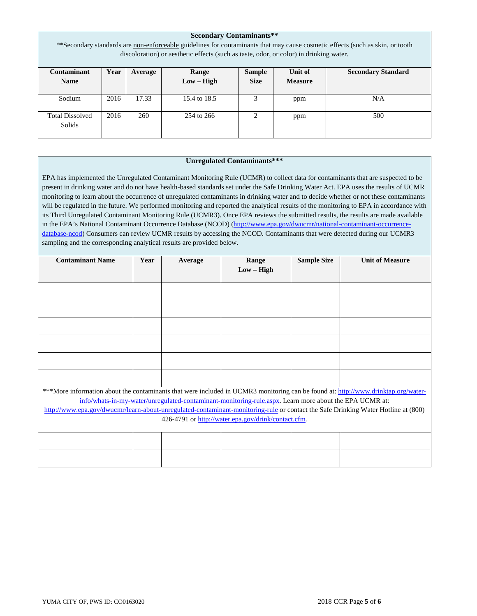| <b>Secondary Contaminants**</b>                                                                                               |      |         |              |               |                |                           |  |  |  |  |
|-------------------------------------------------------------------------------------------------------------------------------|------|---------|--------------|---------------|----------------|---------------------------|--|--|--|--|
| **Secondary standards are non-enforceable guidelines for contaminants that may cause cosmetic effects (such as skin, or tooth |      |         |              |               |                |                           |  |  |  |  |
| discoloration) or aesthetic effects (such as taste, odor, or color) in drinking water.                                        |      |         |              |               |                |                           |  |  |  |  |
|                                                                                                                               |      |         |              |               |                |                           |  |  |  |  |
| Contaminant                                                                                                                   | Year | Average | Range        | <b>Sample</b> | Unit of        | <b>Secondary Standard</b> |  |  |  |  |
| <b>Name</b>                                                                                                                   |      |         | $Low - High$ | <b>Size</b>   | <b>Measure</b> |                           |  |  |  |  |
|                                                                                                                               |      |         |              |               |                |                           |  |  |  |  |
| Sodium                                                                                                                        | 2016 | 17.33   | 15.4 to 18.5 | 3             | ppm            | N/A                       |  |  |  |  |
|                                                                                                                               |      |         |              |               |                |                           |  |  |  |  |
| <b>Total Dissolved</b>                                                                                                        | 2016 | 260     | 254 to 266   | ∍             | ppm            | 500                       |  |  |  |  |
| <b>Solids</b>                                                                                                                 |      |         |              |               |                |                           |  |  |  |  |
|                                                                                                                               |      |         |              |               |                |                           |  |  |  |  |

### **Unregulated Contaminants\*\*\***

EPA has implemented the Unregulated Contaminant Monitoring Rule (UCMR) to collect data for contaminants that are suspected to be present in drinking water and do not have health-based standards set under the Safe Drinking Water Act. EPA uses the results of UCMR monitoring to learn about the occurrence of unregulated contaminants in drinking water and to decide whether or not these contaminants will be regulated in the future. We performed monitoring and reported the analytical results of the monitoring to EPA in accordance with its Third Unregulated Contaminant Monitoring Rule (UCMR3). Once EPA reviews the submitted results, the results are made available in the EPA's National Contaminant Occurrence Database (NCOD) [\(http://www.epa.gov/dwucmr/national-contaminant-occurrence](http://www.epa.gov/dwucmr/national-contaminant-occurrence-database-ncod)[database-ncod\)](http://www.epa.gov/dwucmr/national-contaminant-occurrence-database-ncod) Consumers can review UCMR results by accessing the NCOD. Contaminants that were detected during our UCMR3 sampling and the corresponding analytical results are provided below.

| <b>Contaminant Name</b>                                                                                                           | Year | Average | Range<br>$Low - High$                                                                                  | <b>Sample Size</b> | <b>Unit of Measure</b> |  |  |  |  |
|-----------------------------------------------------------------------------------------------------------------------------------|------|---------|--------------------------------------------------------------------------------------------------------|--------------------|------------------------|--|--|--|--|
|                                                                                                                                   |      |         |                                                                                                        |                    |                        |  |  |  |  |
|                                                                                                                                   |      |         |                                                                                                        |                    |                        |  |  |  |  |
|                                                                                                                                   |      |         |                                                                                                        |                    |                        |  |  |  |  |
|                                                                                                                                   |      |         |                                                                                                        |                    |                        |  |  |  |  |
|                                                                                                                                   |      |         |                                                                                                        |                    |                        |  |  |  |  |
|                                                                                                                                   |      |         |                                                                                                        |                    |                        |  |  |  |  |
|                                                                                                                                   |      |         |                                                                                                        |                    |                        |  |  |  |  |
| ***More information about the contaminants that were included in UCMR3 monitoring can be found at: http://www.drinktap.org/water- |      |         |                                                                                                        |                    |                        |  |  |  |  |
|                                                                                                                                   |      |         | info/whats-in-my-water/unregulated-contaminant-monitoring-rule.aspx. Learn more about the EPA UCMR at: |                    |                        |  |  |  |  |
| http://www.epa.gov/dwucmr/learn-about-unregulated-contaminant-monitoring-rule or contact the Safe Drinking Water Hotline at (800) |      |         |                                                                                                        |                    |                        |  |  |  |  |
| 426-4791 or http://water.epa.gov/drink/contact.cfm.                                                                               |      |         |                                                                                                        |                    |                        |  |  |  |  |
|                                                                                                                                   |      |         |                                                                                                        |                    |                        |  |  |  |  |
|                                                                                                                                   |      |         |                                                                                                        |                    |                        |  |  |  |  |